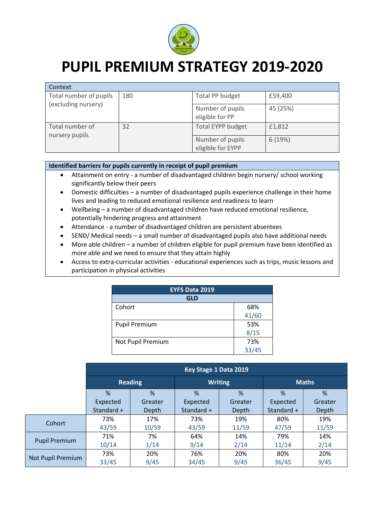

## **PUPIL PREMIUM STRATEGY 2019-2020**

| <b>Context</b>                    |     |                                       |          |
|-----------------------------------|-----|---------------------------------------|----------|
| Total number of pupils            | 180 | Total PP budget                       | £59,400  |
| (excluding nursery)               |     | Number of pupils<br>eligible for PP   | 45 (25%) |
| Total number of<br>nursery pupils | 32  | <b>Total EYPP budget</b>              | £1,812   |
|                                   |     | Number of pupils<br>eligible for EYPP | 6(19%)   |

## **Identified barriers for pupils currently in receipt of pupil premium**

- Attainment on entry a number of disadvantaged children begin nursery/ school working significantly below their peers
- Domestic difficulties a number of disadvantaged pupils experience challenge in their home lives and leading to reduced emotional resilience and readiness to learn
- Wellbeing a number of disadvantaged children have reduced emotional resilience, potentially hindering progress and attainment
- Attendance a number of disadvantaged children are persistent absentees
- SEND/ Medical needs a small number of disadvantaged pupils also have additional needs
- More able children a number of children eligible for pupil premium have been identified as more able and we need to ensure that they attain highly
- Access to extra-curricular activities educational experiences such as trips, music lessons and participation in physical activities

| <b>EYFS Data 2019</b> |       |  |  |
|-----------------------|-------|--|--|
| <b>GLD</b>            |       |  |  |
| Cohort                | 68%   |  |  |
|                       | 41/60 |  |  |
| <b>Pupil Premium</b>  | 53%   |  |  |
|                       | 8/15  |  |  |
| Not Pupil Premium     | 73%   |  |  |
|                       | 33/45 |  |  |

|                      | Key Stage 1 Data 2019 |         |                |         |              |         |
|----------------------|-----------------------|---------|----------------|---------|--------------|---------|
|                      | <b>Reading</b>        |         | <b>Writing</b> |         | <b>Maths</b> |         |
|                      | %                     | %       | %              | %       | %            | $\%$    |
|                      | Expected              | Greater | Expected       | Greater | Expected     | Greater |
|                      | Standard +            | Depth   | Standard +     | Depth   | Standard +   | Depth   |
| <b>Cohort</b>        | 73%                   | 17%     | 73%            | 19%     | 80%          | 19%     |
|                      | 43/59                 | 10/59   | 43/59          | 11/59   | 47/59        | 11/59   |
| <b>Pupil Premium</b> | 71%                   | 7%      | 64%            | 14%     | 79%          | 14%     |
|                      | 10/14                 | 1/14    | 9/14           | 2/14    | 11/14        | 2/14    |
| Not Pupil Premium    | 73%                   | 20%     | 76%            | 20%     | 80%          | 20%     |
|                      | 33/45                 | 9/45    | 34/45          | 9/45    | 36/45        | 9/45    |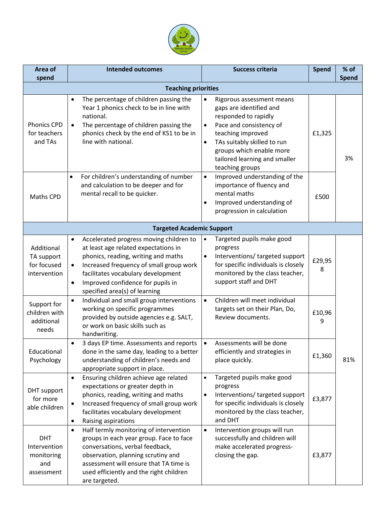

| Area of<br>spend                                              | <b>Intended outcomes</b>                                                                                                                                                                                                                                                                                                                                                      | <b>Success criteria</b>                                                                                                                                                                                                                                                            | Spend       | % of<br><b>Spend</b> |
|---------------------------------------------------------------|-------------------------------------------------------------------------------------------------------------------------------------------------------------------------------------------------------------------------------------------------------------------------------------------------------------------------------------------------------------------------------|------------------------------------------------------------------------------------------------------------------------------------------------------------------------------------------------------------------------------------------------------------------------------------|-------------|----------------------|
| <b>Teaching priorities</b>                                    |                                                                                                                                                                                                                                                                                                                                                                               |                                                                                                                                                                                                                                                                                    |             |                      |
| <b>Phonics CPD</b><br>for teachers<br>and TAs                 | The percentage of children passing the<br>$\bullet$<br>Year 1 phonics check to be in line with<br>national.<br>The percentage of children passing the<br>$\bullet$<br>phonics check by the end of KS1 to be in<br>line with national.                                                                                                                                         | Rigorous assessment means<br>$\bullet$<br>gaps are identified and<br>responded to rapidly<br>Pace and consistency of<br>$\bullet$<br>teaching improved<br>TAs suitably skilled to run<br>$\bullet$<br>groups which enable more<br>tailored learning and smaller<br>teaching groups | £1,325      | 3%                   |
| Maths CPD                                                     | For children's understanding of number<br>$\bullet$<br>and calculation to be deeper and for<br>mental recall to be quicker.                                                                                                                                                                                                                                                   | Improved understanding of the<br>$\bullet$<br>importance of fluency and<br>mental maths<br>Improved understanding of<br>٠<br>progression in calculation                                                                                                                            | £500        |                      |
|                                                               | <b>Targeted Academic Support</b>                                                                                                                                                                                                                                                                                                                                              |                                                                                                                                                                                                                                                                                    |             |                      |
| Additional<br>TA support<br>for focused<br>intervention       | Accelerated progress moving children to<br>$\bullet$<br>at least age related expectations in<br>phonics, reading, writing and maths<br>Increased frequency of small group work<br>$\bullet$<br>facilitates vocabulary development<br>Improved confidence for pupils in<br>$\bullet$<br>specified area(s) of learning<br>Individual and small group interventions<br>$\bullet$ | Targeted pupils make good<br>$\bullet$<br>progress<br>Interventions/ targeted support<br>$\bullet$<br>for specific individuals is closely<br>monitored by the class teacher,<br>support staff and DHT<br>Children will meet individual<br>$\bullet$                                | £29,95<br>8 |                      |
| Support for<br>children with<br>additional<br>needs           | working on specific programmes<br>provided by outside agencies e.g. SALT,<br>or work on basic skills such as<br>handwriting.                                                                                                                                                                                                                                                  | targets set on their Plan, Do,<br>Review documents.                                                                                                                                                                                                                                | £10,96<br>9 |                      |
| Educational<br>Psychology                                     | 3 days EP time. Assessments and reports<br>$\bullet$<br>done in the same day, leading to a better<br>understanding of children's needs and<br>appropriate support in place.                                                                                                                                                                                                   | Assessments will be done<br>efficiently and strategies in<br>place quickly.                                                                                                                                                                                                        | £1,360      | 81%                  |
| DHT support<br>for more<br>able children                      | Ensuring children achieve age related<br>$\bullet$<br>expectations or greater depth in<br>phonics, reading, writing and maths<br>Increased frequency of small group work<br>٠<br>facilitates vocabulary development<br>Raising aspirations<br>$\bullet$                                                                                                                       | Targeted pupils make good<br>$\bullet$<br>progress<br>Interventions/ targeted support<br>٠<br>for specific individuals is closely<br>monitored by the class teacher,<br>and DHT                                                                                                    | £3,877      |                      |
| <b>DHT</b><br>Intervention<br>monitoring<br>and<br>assessment | Half termly monitoring of intervention<br>$\bullet$<br>groups in each year group. Face to face<br>conversations, verbal feedback,<br>observation, planning scrutiny and<br>assessment will ensure that TA time is<br>used efficiently and the right children<br>are targeted.                                                                                                 | Intervention groups will run<br>$\bullet$<br>successfully and children will<br>make accelerated progress-<br>closing the gap.                                                                                                                                                      | £3,877      |                      |